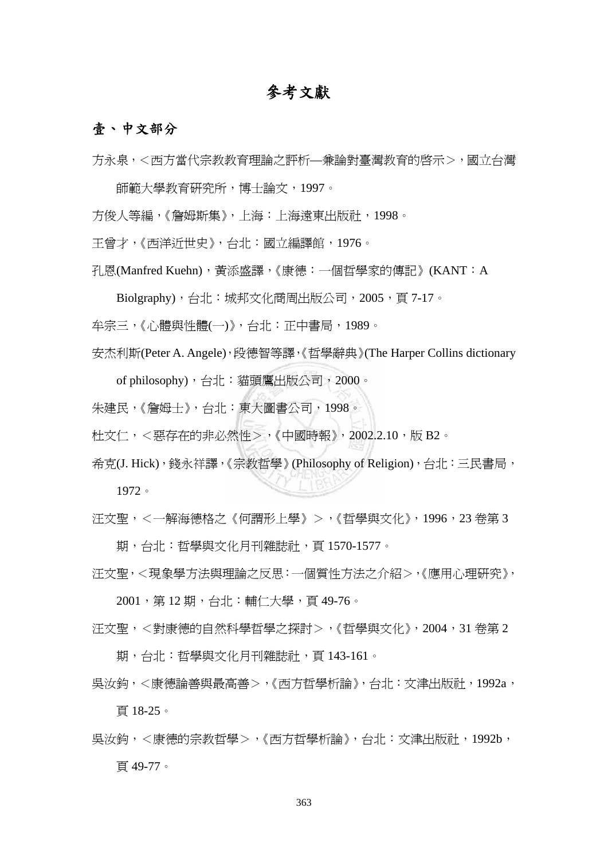## 參考文獻

## 壹、中文部分

方永泉,<西方當代宗教教育理論之評析—兼論對臺灣教育的啟示>,國立台灣

師範大學教育研究所,博士論文,1997。

方俊人等編,《詹姆斯集》,上海:上海遠東出版社,1998。

王曾才,《西洋近世史》,台北:國立編譯館,1976。

孔恩(Manfred Kuehn),黃添盛譯,《康德:一個哲學家的傳記》(KANT:A

Biolgraphy),台北:城邦文化商周出版公司,2005,頁 7-17。

牟宗三,《心體與性體(一)》,台北:正中書局,1989。

安杰利斯(Peter A. Angele),段德智等譯,《哲學辭典》(The Harper Collins dictionary

of philosophy),台北:貓頭鷹出版公司,2000。

朱建民,《詹姆士》,台北:東大圖書公司,1998。

杜文仁,<惡存在的非必然性>,《中國時報》,2002.2.10,版 B2。

希克(J. Hick),錢永祥譯,《宗教哲學》(Philosophy of Religion),台北:三民書局, 1972。

汪文聖,<一解海德格之《何謂形上學》>,《哲學與文化》,1996,23 卷第 3

期,台北:哲學與文化月刊雜誌社,頁 1570-1577。

汪文聖,<現象學方法與理論之反思:一個質性方法之介紹>,《應用心理研究》,

2001,第 12 期,台北:輔仁大學,頁 49-76。

汪文聖,<對康德的自然科學哲學之探討>,《哲學與文化》,2004,31 卷第 2

期,台北:哲學與文化月刊雜誌社,頁 143-161。

吳汝鈞,<康德論善與最高善>,《西方哲學析論》,台北:文津出版社,1992a,

頁 18-25。

吳汝鈞,<康德的宗教哲學>,《西方哲學析論》,台北:文津出版社,1992b, 頁 49-77。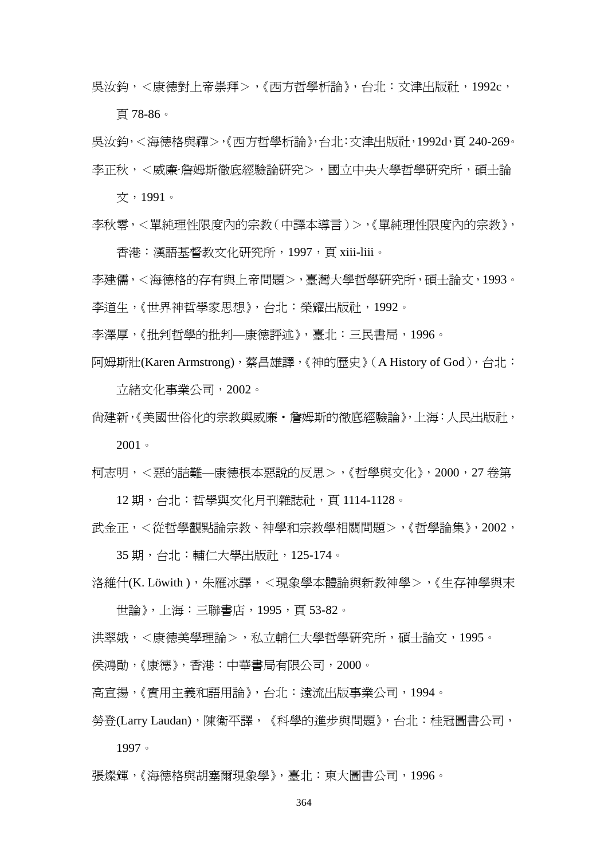吳汝鈞,<康德對上帝崇拜>,《西方哲學析論》,台北:文津出版社,1992c,

頁 78-86。

吳汝鈞,<海德格與禪>,《西方哲學析論》,台北:文津出版社,1992d,頁 240-269。 李正秋,<威廉·詹姆斯徹底經驗論研究>,國立中央大學哲學研究所,碩士論

文,1991。

李秋零,<單純理性限度內的宗教(中譯本導言)>,《單純理性限度內的宗教》,

香港:漢語基督教文化研究所,1997,頁 xiii-liii。

李建儒,<海德格的存有與上帝問題>,臺灣大學哲學研究所,碩士論文,1993。 李道生,《世界神哲學家思想》,台北:榮耀出版社,1992。

李澤厚,《批判哲學的批判—康德評述》,臺北:三民書局,1996。

阿姆斯壯(Karen Armstrong),蔡昌雄譯,《神的歷史》(A History of God),台北:

立緒文化事業公司,2002。

尚建新,《美國世俗化的宗教與威廉‧詹姆斯的徹底經驗論》,上海:人民出版社,

2001。

柯志明,<惡的詰難—康德根本惡說的反思>,《哲學與文化》,2000,27 卷第

12 期,台北:哲學與文化月刊雜誌社,頁 1114-1128。

武金正,<從哲學觀點論宗教、神學和宗教學相關問題>,《哲學論集》,2002,

35 期,台北:輔仁大學出版社,125-174。

洛維什(K. Löwith),朱雁冰譯,<現象學本體論與新教神學>,《生存神學與末

世論》,上海:三聯書店,1995,頁 53-82。

洪翠娥,<康德美學理論>,私立輔仁大學哲學研究所,碩士論文,1995。

侯鴻勛,《康德》,香港:中華書局有限公司,2000。

高宣揚,《實用主義和語用論》,台北:遠流出版事業公司,1994。

勞登(Larry Laudan),陳衛平譯,《科學的進步與問題》,台北:桂冠圖書公司, 1997。

張燦輝,《海德格與胡塞爾現象學》,臺北:東大圖書公司,1996。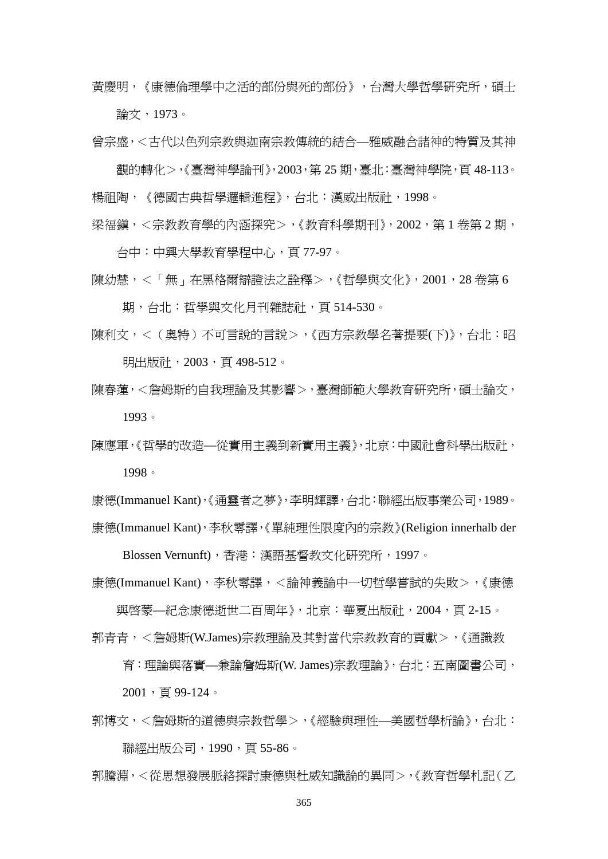黃慶明,《康德倫理學中之活的部份與死的部份》,台灣大學哲學研究所,碩士 論文,1973。

曾宗盛,<古代以色列宗教與迦南宗教傳統的結合—雅威融合諸神的特質及其神

觀的轉化>,《臺灣神學論刊》,2003,第 25 期,臺北:臺灣神學院,頁 48-113。 楊祖陶,《德國古典哲學邏輯進程》,台北:漢威出版社,1998。

梁福鎮,<宗教教育學的內涵探究>,《教育科學期刊》,2002,第 1 卷第 2 期,

台中:中興大學教育學程中心,頁 77-97。

陳幼慧,<「無」在黑格爾辯證法之詮釋>,《哲學與文化》,2001,28 卷第 6

期,台北:哲學與文化月刊雜誌社,頁 514-530。

陳利文,<(奧特)不可言說的言說>,《西方宗教學名著提要(下)》,台北:昭 明出版社, 2003, 頁 498-512。

陳春蓮,<詹姆斯的自我理論及其影響>,臺灣師範大學教育研究所,碩士論文, 1993。

陳應軍,《哲學的改浩—從實用主義到新實用主義》,北京:中國社會科學出版社, 1998。

康德(Immanuel Kant),《通靈者之夢》,李明輝譯,台北:聯經出版事業公司,1989。 康德(Immanuel Kant),李秋零譯,《單純理性限度內的宗教》(Religion innerhalb der

Blossen Vernunft),香港:漢語基督教文化研究所,1997。

康德(Immanuel Kant),李秋零譯,<論神義論中一切哲學嘗試的失敗>,《康德

與啟蒙—紀念康德逝世二百周年》,北京:華夏出版社,2004,頁 2-15。 郭青青,<詹姆斯(W.James)宗教理論及其對當代宗教教育的貢獻>,《涌識教

育:理論與落實—兼論詹姆斯(W. James)宗教理論》,台北:五南圖書公司,

2001,頁 99-124。

郭博文,<詹姆斯的道德與宗教哲學>,《經驗與理性—美國哲學析論》,台北: 聯經出版公司,1990,頁 55-86。

郭騰淵,<從思想發展脈絡探討康德與杜威知識論的異同>,《教育哲學札記(乙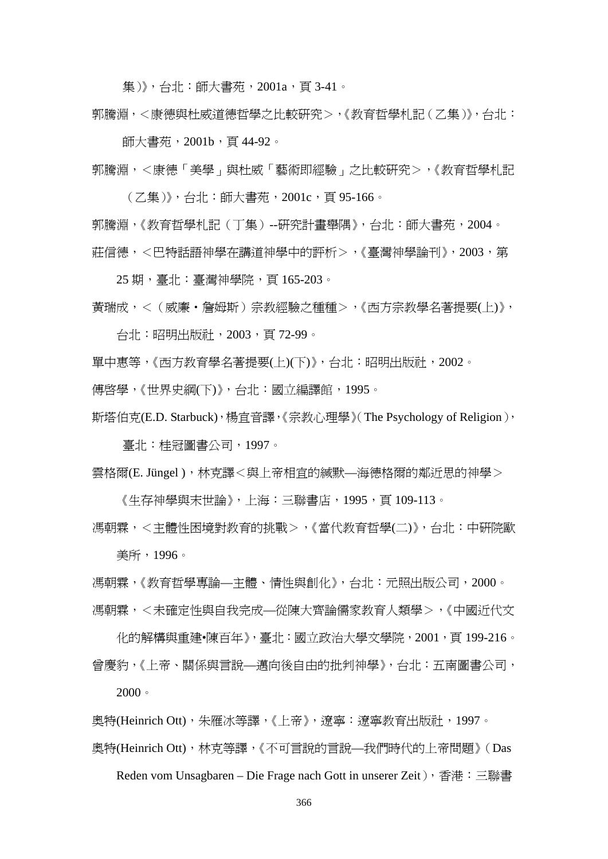集)》,台北: 師大書苑, 2001a, 百3-41。

郭騰淵,<康德與杜威道德哲學之比較研究>,《教育哲學札記(乙集)》,台北:

師大書苑,2001b,頁 44-92。

郭騰淵,<康德「美學」與杜威「藝術即經驗」之比較研究>,《教育哲學札記

(乙集)》,台北:師大書苑,2001c,頁 95-166。

郭騰淵,《教育哲學札記(丁集)--研究計畫舉隅》,台北:師大書苑,2004。 莊信德,<巴特話語神學在講道神學中的評析>,《臺灣神學論刊》,2003,第

25 期,臺北:臺灣神學院,頁 165-203。

黃瑞成,<(威廉‧詹姆斯)宗教經驗之種種>,《西方宗教學名著提要(上)》,

台北:昭明出版社,2003,頁 72-99。

單中惠等,《西方教育學名著提要(上)(下)》,台北:昭明出版社,2002。

傅啟學,《世界史綱(下)》,台北:國立編譯館,1995。

斯塔伯克(E.D. Starbuck),楊宜音譯,《宗教心理學》(The Psychology of Religion),

臺北:桂冠圖書公司,1997。

雲格爾(E. Jüngel ),林克譯<與上帝相宜的緘默—海德格爾的鄰近思的神學>

《生存神學與末世論》,上海:三聯書店,1995,頁 109-113。

馮朝霖,<主體性困境對教育的挑戰>,《當代教育哲學(二)》,台北:中研院歐 美所,1996。

馮朝霖,《教育哲學專論—主體、情性與創化》,台北:元照出版公司,2000。 馮朝霖,<未確定性與自我完成—從陳大齊論儒家教育人類學>,《中國近代文

化的解構與重建•陳百年》,臺北:國立政治大學文學院,2001,頁 199-216。 曾慶豹,《上帝、關係與言說—邁向後自由的批判神學》,台北:五南圖書公司,  $2000$ 

奧特(Heinrich Ott),朱雁冰等譯,《上帝》, 潦寧: 潦寧教育出版社, 1997。

奧特(Heinrich Ott),林克等譯,《不可言說的言說—我們時代的上帝問題》(Das

Reden vom Unsagbaren – Die Frage nach Gott in unserer Zeit), 香港:三聯書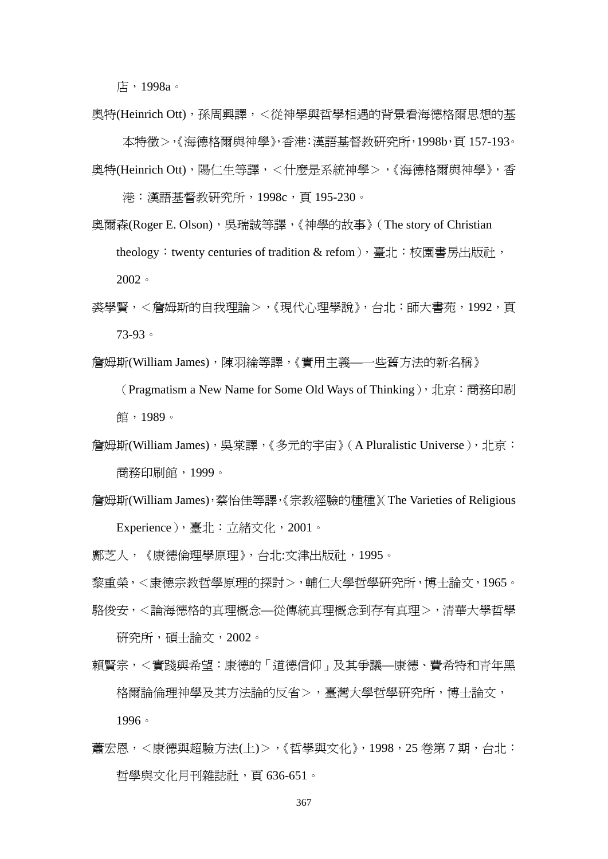店,1998a。

奧特(Heinrich Ott),孫周興譯,<從神學與哲學相遇的背景看海德格爾思想的基 本特徵>,《海德格爾與神學》,香港:漢語基督教研究所,1998b,頁 157-193。

- 奧特(Heinrich Ott), 陽仁生等譯, <什麼是系統神學>, 《海德格爾與神學》, 香 港:漢語基督教研究所,1998c,頁 195-230。
- 奧爾森(Roger E. Olson), 吳瑞誠等譯, 《神學的故事》 (The story of Christian theology: twenty centuries of tradition & refom), 臺北: 校園書房出版社, 2002。
- 裘學賢,<詹姆斯的自我理論>,《現代心理學說》,台北:師大書苑,1992,頁 73-93。
- 詹姆斯(William James),陳羽綸等譯,《實用主義——些舊方法的新名稱》

(Pragmatism a New Name for Some Old Ways of Thinking), 北京: 商務印刷 館,1989。

- 詹姆斯(William James), 吳棠譯,《多元的宇宙》(A Pluralistic Universe), 北京: 商務印刷館,1999。
- 詹姆斯(William James),蔡怡佳等譯,《宗教經驗的種種》(The Varieties of Religious Experience),臺北:立緒文化,2001。

鄺芝人,《康德倫理學原理》,台北:文津出版社,1995。

黎重榮,<康德宗教哲學原理的探討>,輔仁大學哲學研究所,博士論文,1965。

駱俊安,<論海德格的真理概念—從傳統真理概念到存有真理>,清華大學哲學

研究所,碩士論文,2002。

賴賢宗,<實踐與希望:康德的「道德信仰」及其爭議—康德、費希特和青年黑 格爾論倫理神學及其方法論的反省>,臺灣大學哲學研究所,博士論文,

1996。

蕭宏恩,<康德與超驗方法(上)>,《哲學與文化》,1998,25 卷第 7 期,台北: 哲學與文化月刊雜誌社,頁 636-651。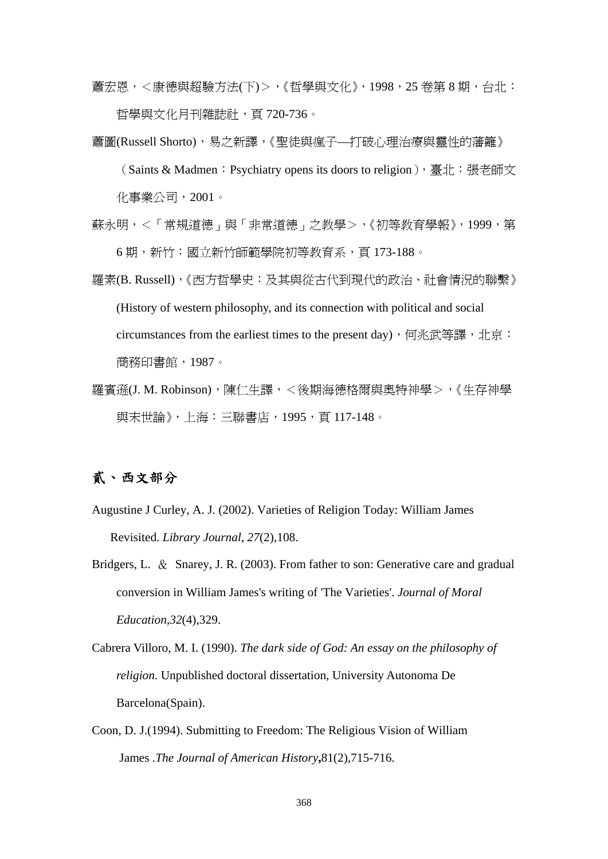蕭宏恩,<康德與超驗方法(下)>,《哲學與文化》,1998,25 卷第 8 期,台北: 哲學與文化月刊雜誌社,頁 720-736。

蕭圖(Russell Shorto),易之新譯,《聖徒與瘋子—打破心理治療與靈性的藩籬》

(Saints & Madmen:Psychiatry opens its doors to religion),臺北:張老師文 化事業公司,2001。

- 蘇永明,<「常規道德」與「非常道德」之教學>,《初等教育學報》,1999,第 6 期,新竹:國立新竹師範學院初等教育系,頁 173-188。
- 羅素(B. Russell),《西方哲學史:及其與從古代到現代的政治、社會情況的聯繫》 (History of western philosophy, and its connection with political and social circumstances from the earliest times to the present day), 何兆武等譯, 北京: 商務印書館,1987。
- 羅賓遜(J. M. Robinson),陳仁生譯,<後期海德格爾與奧特神學>,《生存神學 與末世論》,上海:三聯書店,1995,頁 117-148。

## 貳、西文部分

- Augustine J Curley, A. J. (2002). Varieties of Religion Today: William James Revisited. *Library Journal*, *27*(2),108.
- Bridgers, L. & Snarey, J. R. (2003). From father to son: Generative care and gradual conversion in William James's writing of 'The Varieties'. *Journal of Moral Education,32*(4),329.
- Cabrera Villoro, M. I. (1990). *The dark side of God: An essay on the philosophy of religion.* Unpublished doctoral dissertation, University Autonoma De Barcelona(Spain).
- Coon, D. J.(1994). Submitting to Freedom: The Religious Vision of William James .*The Journal of American History***,**81(2),715-716.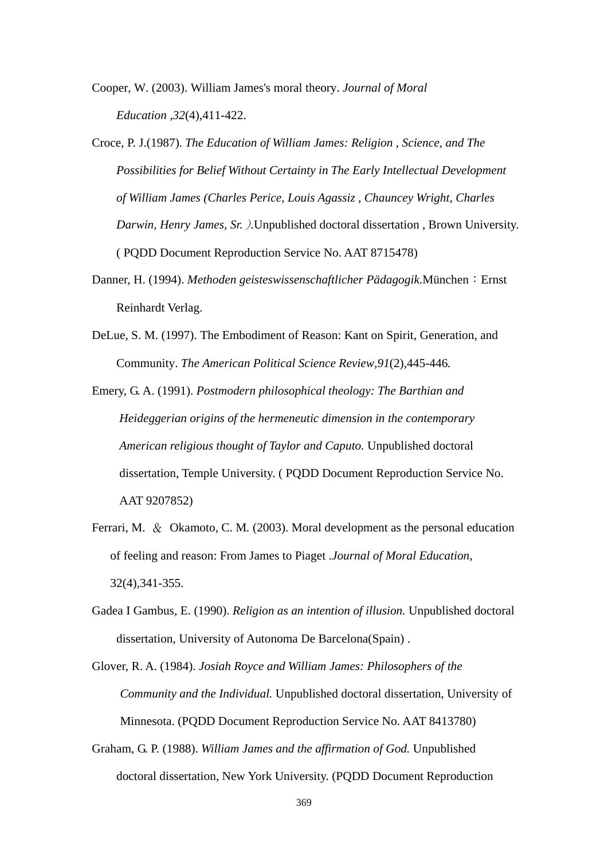Cooper, W. (2003). William James's moral theory. *Journal of Moral Education ,32*(4),411-422.

- Croce, P. J.(1987). *The Education of William James: Religion , Science, and The Possibilities for Belief Without Certainty in The Early Intellectual Development of William James (Charles Perice, Louis Agassiz , Chauncey Wright, Charles Darwin, Henry James, Sr.*)*.*Unpublished doctoral dissertation , Brown University. ( PQDD Document Reproduction Service No. AAT 8715478)
- Danner, H. (1994). *Methoden geisteswissenschaftlicher Pädagogik*. München: Ernst Reinhardt Verlag.
- DeLue, S. M. (1997). The Embodiment of Reason: Kant on Spirit, Generation, and Community. *The American Political Science Review,91*(2),445-446*.*

Emery, G. A. (1991). *Postmodern philosophical theology: The Barthian and Heideggerian origins of the hermeneutic dimension in the contemporary American religious thought of Taylor and Caputo.* Unpublished doctoral dissertation, Temple University. ( PQDD Document Reproduction Service No. AAT 9207852)

- Ferrari, M. & Okamoto, C. M. (2003). Moral development as the personal education of feeling and reason: From James to Piaget .*Journal of Moral Education,* 32(4),341-355.
- Gadea I Gambus, E. (1990). *Religion as an intention of illusion.* Unpublished doctoral dissertation, University of Autonoma De Barcelona(Spain) .

Glover, R. A. (1984). *Josiah Royce and William James: Philosophers of the Community and the Individual.* Unpublished doctoral dissertation, University of Minnesota. (PQDD Document Reproduction Service No. AAT 8413780)

Graham, G. P. (1988). *William James and the affirmation of God.* Unpublished doctoral dissertation, New York University. (PQDD Document Reproduction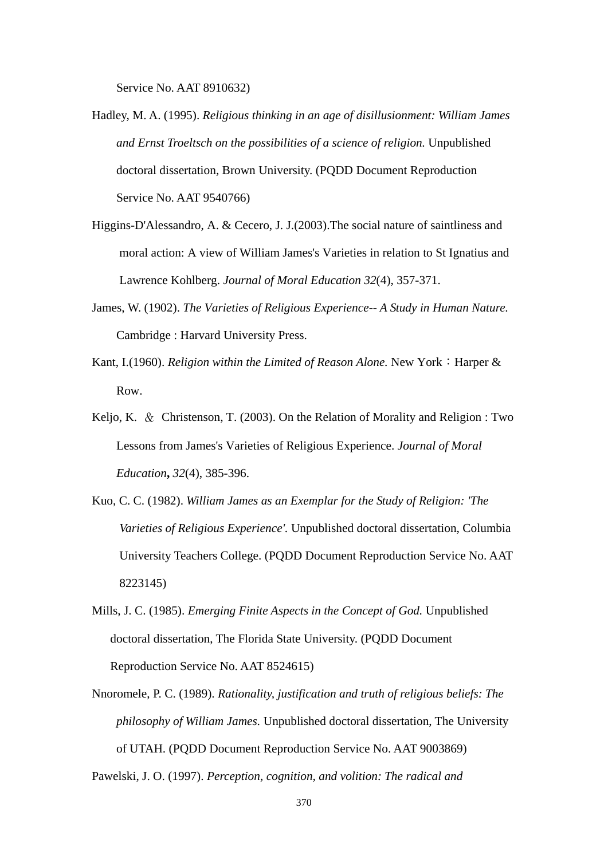Service No. AAT 8910632)

- Hadley, M. A. (1995). *Religious thinking in an age of disillusionment: William James and Ernst Troeltsch on the possibilities of a science of religion.* Unpublished doctoral dissertation, Brown University. (PQDD Document Reproduction Service No. AAT 9540766)
- Higgins-D'Alessandro, A. & Cecero, J. J.(2003).The social nature of saintliness and moral action: A view of William James's Varieties in relation to St Ignatius and Lawrence Kohlberg. *Journal of Moral Education 32*(4), 357-371.
- James, W. (1902). *The Varieties of Religious Experience-- A Study in Human Nature.*  Cambridge : Harvard University Press.
- Kant, I.(1960). *Religion within the Limited of Reason Alone*. New York: Harper & Row.
- Keljo, K. & Christenson, T. (2003). On the Relation of Morality and Religion : Two Lessons from James's Varieties of Religious Experience. *Journal of Moral Education***,** *32*(4), 385-396.
- Kuo, C. C. (1982). *William James as an Exemplar for the Study of Religion: 'The Varieties of Religious Experience'.* Unpublished doctoral dissertation, Columbia University Teachers College. (PQDD Document Reproduction Service No. AAT 8223145)
- Mills, J. C. (1985). *Emerging Finite Aspects in the Concept of God.* Unpublished doctoral dissertation, The Florida State University. (PQDD Document Reproduction Service No. AAT 8524615)
- Nnoromele, P. C. (1989). *Rationality, justification and truth of religious beliefs: The philosophy of William James.* Unpublished doctoral dissertation, The University of UTAH. (PQDD Document Reproduction Service No. AAT 9003869) Pawelski, J. O. (1997). *Perception, cognition, and volition: The radical and*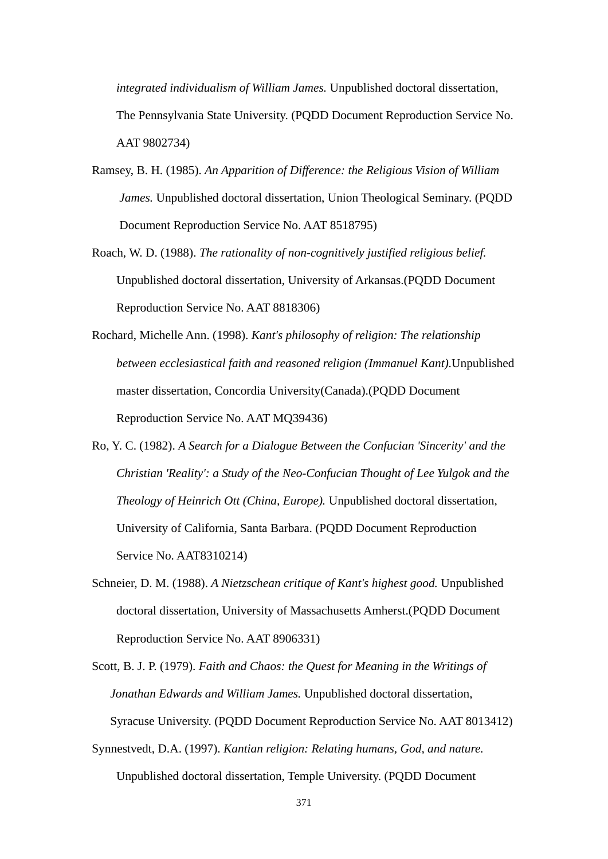*integrated individualism of William James.* Unpublished doctoral dissertation, The Pennsylvania State University. (PQDD Document Reproduction Service No. AAT 9802734)

- Ramsey, B. H. (1985). *An Apparition of Difference: the Religious Vision of William James.* Unpublished doctoral dissertation, Union Theological Seminary. (PQDD Document Reproduction Service No. AAT 8518795)
- Roach, W. D. (1988). *The rationality of non-cognitively justified religious belief.*  Unpublished doctoral dissertation, University of Arkansas.(PQDD Document Reproduction Service No. AAT 8818306)
- Rochard, Michelle Ann. (1998). *Kant's philosophy of religion: The relationship between ecclesiastical faith and reasoned religion (Immanuel Kant)*.Unpublished master dissertation, Concordia University(Canada).(PQDD Document Reproduction Service No. AAT MQ39436)
- Ro, Y. C. (1982). *A Search for a Dialogue Between the Confucian 'Sincerity' and the Christian 'Reality': a Study of the Neo-Confucian Thought of Lee Yulgok and the Theology of Heinrich Ott (China, Europe).* Unpublished doctoral dissertation, University of California, Santa Barbara. (PQDD Document Reproduction Service No. AAT8310214)
- Schneier, D. M. (1988). *A Nietzschean critique of Kant's highest good.* Unpublished doctoral dissertation, University of Massachusetts Amherst.(PQDD Document Reproduction Service No. AAT 8906331)
- Scott, B. J. P. (1979). *Faith and Chaos: the Quest for Meaning in the Writings of Jonathan Edwards and William James.* Unpublished doctoral dissertation, Syracuse University. (PQDD Document Reproduction Service No. AAT 8013412)
- Synnestvedt, D.A. (1997). *Kantian religion: Relating humans, God, and nature.*  Unpublished doctoral dissertation, Temple University. (PQDD Document